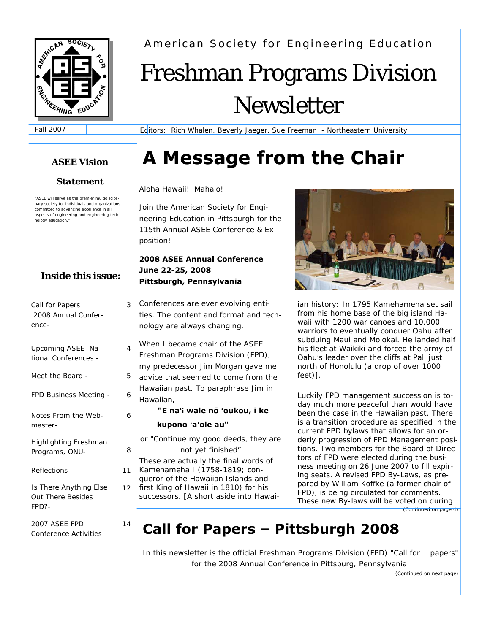

American Society for Engineering Education

# Freshman Programs Division Newsletter

Fall 2007

Editors: Rich Whalen, Beverly Jaeger, Sue Freeman - Northeastern University

# *ASEE Vision* **A Message from the Chair**

#### Aloha Hawaii! Mahalo!

Join the American Society for Engineering Education in Pittsburgh for the 115th Annual ASEE Conference & Exposition!

#### **2008 ASEE Annual Conference June 22-25, 2008 Pittsburgh, Pennsylvania**

Conferences are ever evolving entities. The content and format and technology are always changing.

When I became chair of the ASEE Freshman Programs Division (FPD), my predecessor Jim Morgan gave me advice that seemed to come from the Hawaiian past. To paraphrase Jim in Hawaiian,

#### **"E na**ʻ**i wale nō** ʻ**oukou, i ke kupono** ʻ**a**ʻ**ole au"**

*or "Continue my good deeds, they are not yet finished"* These are actually the final words of Kamehameha I (1758-1819; conqueror of the Hawaiian Islands and first King of Hawaii in 1810) for his successors. [A short aside into Hawai-



ian history: In 1795 Kamehameha set sail from his home base of the big island Hawaii with 1200 war canoes and 10,000 warriors to eventually conquer Oahu after subduing Maui and Molokai. He landed half his fleet at Waikiki and forced the army of Oahu's leader over the cliffs at Pali just north of Honolulu (a drop of over 1000 feet)].

Luckily FPD management succession is today much more peaceful than would have been the case in the Hawaiian past. There is a transition procedure as specified in the current FPD bylaws that allows for an orderly progression of FPD Management positions. Two members for the Board of Directors of FPD were elected during the business meeting on 26 June 2007 to fill expiring seats. A revised FPD By-Laws, as prepared by William Koffke (a former chair of FPD), is being circulated for comments. These new By-laws will be voted on during *(Continued on page 4)* 

# **Call for Papers – Pittsburgh 2008**

In this newsletter is the official Freshman Programs Division (FPD) "Call for papers" for the 2008 Annual Conference in Pittsburg, Pennsylvania.

### *Statement*

*"ASEE will serve as the premier multidisciplinary society for individuals and organizations committed to advancing excellence in all aspects of engineering and engineering technology education."* 

## **Inside this issue:**

| Call for Papers<br>2008 Annual Confer-<br>ence-             | З  |
|-------------------------------------------------------------|----|
| Upcoming ASEE Na-<br>tional Conferences -                   | 4  |
| Meet the Board -                                            | 5  |
| <b>FPD Business Meeting -</b>                               | 6  |
| Notes From the Web-<br>master-                              | 6  |
| Highlighting Freshman<br>Programs, ONU-                     | 8  |
| <i>Reflections-</i>                                         | 11 |
| Is There Anything Else<br><b>Out There Besides</b><br>FPD?- | 12 |
| <i>2007 ASEE FPD</i><br><b>Conference Activities</b>        | 14 |

*(Continued on next page)*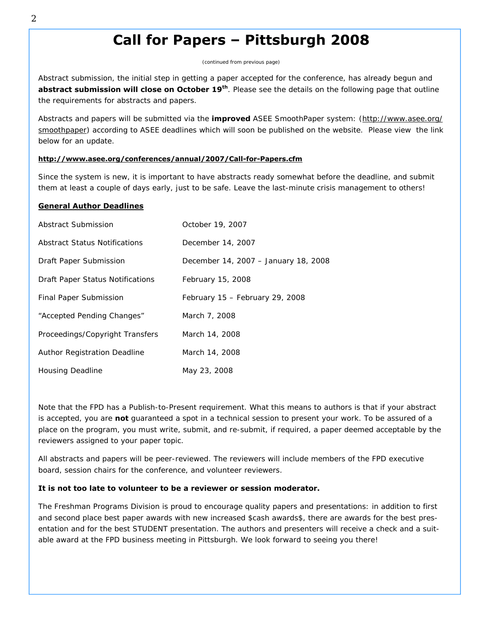# **Call for Papers – Pittsburgh 2008**

*(continued from previous page)*

Abstract submission, the initial step in getting a paper accepted for the conference, has already begun and **abstract submission will close on October 19<sup>th</sup>**. Please see the details on the following page that outline the requirements for abstracts and papers.

Abstracts and papers will be submitted via the *improved* ASEE SmoothPaper system: (http://www.asee.org/ smoothpaper) according to ASEE deadlines which will soon be published on the website. Please view the link below for an update.

#### **http://www.asee.org/conferences/annual/2007/Call-for-Papers.cfm**

Since the system is new, it is important to have abstracts ready somewhat before the deadline, and submit them at least a couple of days early, just to be safe. Leave the last-minute crisis management to others!

#### **General Author Deadlines**

| Abstract Submission                  | October 19, 2007                     |
|--------------------------------------|--------------------------------------|
| <b>Abstract Status Notifications</b> | December 14, 2007                    |
| Draft Paper Submission               | December 14, 2007 - January 18, 2008 |
| Draft Paper Status Notifications     | February 15, 2008                    |
| Final Paper Submission               | February 15 - February 29, 2008      |
| "Accepted Pending Changes"           | March 7, 2008                        |
| Proceedings/Copyright Transfers      | March 14, 2008                       |
| Author Registration Deadline         | March 14, 2008                       |
| <b>Housing Deadline</b>              | May 23, 2008                         |

Note that the FPD has a Publish-to-Present requirement. What this means to authors is that if your abstract is accepted, you are **not** guaranteed a spot in a technical session to present your work. To be assured of a place on the program, you must write, submit, and re-submit, if required, a paper deemed acceptable by the reviewers assigned to your paper topic.

All abstracts and papers will be peer-reviewed. The reviewers will include members of the FPD executive board, session chairs for the conference, and volunteer reviewers.

#### **It is not too late to volunteer to be a reviewer or session moderator.**

The Freshman Programs Division is proud to encourage quality papers and presentations: in addition to first and second place best paper awards *with new increased \$cash awards\$*, there are awards for the best presentation and for the best STUDENT presentation. The authors and presenters will receive a check and a suitable award at the FPD business meeting in Pittsburgh. We look forward to seeing you there!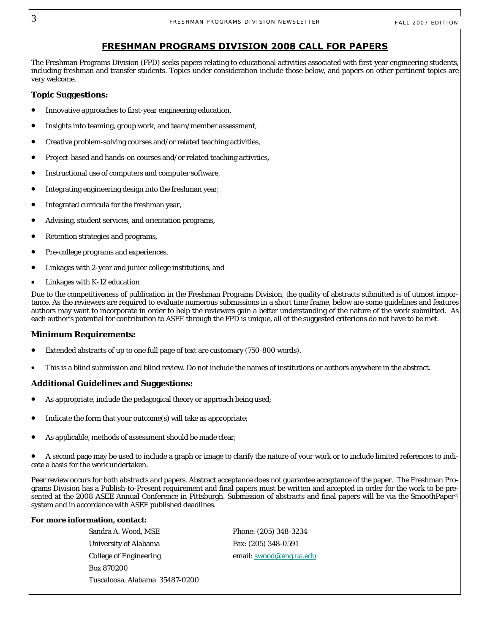#### **FRESHMAN PROGRAMS DIVISION 2008 CALL FOR PAPERS**

The Freshman Programs Division (FPD) seeks papers relating to educational activities associated with first-year engineering students, including freshman and transfer students. Topics under consideration include those below, and papers on other pertinent topics are very welcome.

#### **Topic Suggestions:**

- Innovative approaches to first-year engineering education,
- Insights into teaming, group work, and team/member assessment,
- Creative problem-solving courses and/or related teaching activities,
- Project-based and hands-on courses and/or related teaching activities,
- Instructional use of computers and computer software,
- Integrating engineering design into the freshman year,
- Integrated curricula for the freshman year,
- Advising, student services, and orientation programs,
- Retention strategies and programs,
- Pre-college programs and experiences,
- Linkages with 2-year and junior college institutions, and
- Linkages with K-12 education

Due to the competitiveness of publication in the Freshman Programs Division, the quality of abstracts submitted is of utmost importance. As the reviewers are required to evaluate numerous submissions in a short time frame, below are some guidelines and features authors may want to incorporate in order to help the reviewers gain a better understanding of the nature of the work submitted. As each author's potential for contribution to ASEE through the FPD is unique, all of the suggested criterions do not have to be met.

#### **Minimum Requirements:**

- Extended abstracts of up to one full page of text are customary (750-800 words).
- This is a blind submission and blind review. Do not include the names of institutions or authors anywhere in the abstract.

#### **Additional Guidelines and Suggestions:**

- As appropriate, include the pedagogical theory or approach being used;
- Indicate the form that your outcome(s) will take as appropriate;
- As applicable, methods of assessment should be made clear;

• A second page may be used to include a graph or image to clarify the nature of your work or to include limited references to indicate a basis for the work undertaken.

Peer review occurs for both abstracts and papers. Abstract acceptance does not guarantee acceptance of the paper. The Freshman Programs Division has a Publish-to-Present requirement and final papers must be written and accepted in order for the work to be presented at the 2008 ASEE Annual Conference in Pittsburgh. Submission of abstracts and final papers will be via the SmoothPaper® system and in accordance with ASEE published deadlines.

#### **For more information, contact:**

Sandra A. Wood, MSE Phone: (205) 348-3234 University of Alabama Fax: (205) 348-0591 College of Engineering email: swood@eng.ua.edu Box 870200 Tuscaloosa, Alabama 35487-0200

3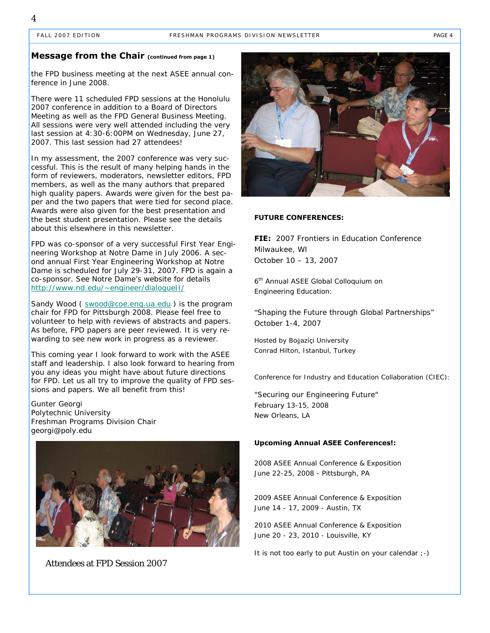#### **Message from the Chair (continued from page 1)**

the FPD business meeting at the next ASEE annual conference in June 2008.

There were 11 scheduled FPD sessions at the Honolulu 2007 conference in addition to a Board of Directors Meeting as well as the FPD General Business Meeting. All sessions were very well attended including the very last session at 4:30-6:00PM on Wednesday, June 27, 2007. This last session had 27 attendees!

In my assessment, the 2007 conference was very successful. This is the result of many helping hands in the form of reviewers, moderators, newsletter editors, FPD members, as well as the many authors that prepared high quality papers. Awards were given for the best paper and the two papers that were tied for second place. Awards were also given for the best presentation and the best student presentation. Please see the details about this elsewhere in this newsletter.

FPD was co-sponsor of a very successful First Year Engineering Workshop at Notre Dame in July 2006. A second annual First Year Engineering Workshop at Notre Dame is scheduled for July 29-31, 2007. FPD is again a co-sponsor. See Notre Dame's website for details http://www.nd.edu/~engineer/dialogueII/

Sandy Wood ( swood@coe.eng.ua.edu ) is the program chair for FPD for Pittsburgh 2008. Please feel free to volunteer to help with reviews of abstracts and papers. As before, FPD papers are peer reviewed. It is very rewarding to see new work in progress as a reviewer.

This coming year I look forward to work with the ASEE staff and leadership. I also look forward to hearing from you any ideas you might have about future directions for FPD. Let us all try to improve the quality of FPD sessions and papers. We all benefit from this!

Gunter Georgi Polytechnic University Freshman Programs Division Chair georgi@poly.edu



Attendees at FPD Session 2007



#### **FUTURE CONFERENCES:**

**FIE:** 2007 Frontiers in Education Conference Milwaukee, WI October 10 – 13, 2007

6<sup>th</sup> Annual ASEE Global Colloquium on Engineering Education:

*"Shaping the Future through Global Partnerships"* October 1-4, 2007

Hosted by Boğaziçi University Conrad Hilton, Istanbul, Turkey

Conference for Industry and Education Collaboration (CIEC):

*"Securing our Engineering Future"* February 13-15, 2008 New Orleans, LA

#### **Upcoming Annual ASEE Conferences!:**

2008 ASEE Annual Conference & Exposition June 22-25, 2008 - Pittsburgh, PA

2009 ASEE Annual Conference & Exposition June 14 - 17, 2009 - Austin, TX

2010 ASEE Annual Conference & Exposition June 20 - 23, 2010 - Louisville, KY

It is not too early to put Austin on your calendar ;-)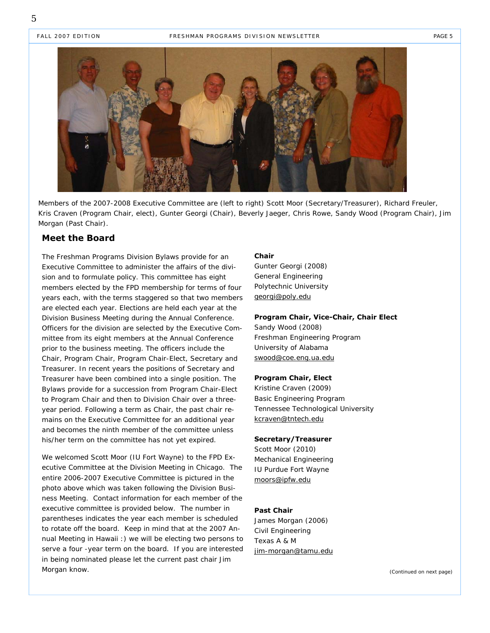FALL 2007 EDITION FRESHMAN PROGRAMS DIVISION NEWSLETTER FAGE 5



Members of the 2007-2008 Executive Committee are (left to right) Scott Moor (Secretary/Treasurer), Richard Freuler, Kris Craven (Program Chair, elect), Gunter Georgi (Chair), Beverly Jaeger, Chris Rowe, Sandy Wood (Program Chair), Jim Morgan (Past Chair).

#### **Meet the Board**

The Freshman Programs Division Bylaws provide for an Executive Committee to administer the affairs of the division and to formulate policy. This committee has eight members elected by the FPD membership for terms of four years each, with the terms staggered so that two members are elected each year. Elections are held each year at the Division Business Meeting during the Annual Conference. Officers for the division are selected by the Executive Committee from its eight members at the Annual Conference prior to the business meeting. The officers include the Chair, Program Chair, Program Chair-Elect, Secretary and Treasurer. In recent years the positions of Secretary and Treasurer have been combined into a single position. The Bylaws provide for a succession from Program Chair-Elect to Program Chair and then to Division Chair over a threeyear period. Following a term as Chair, the past chair remains on the Executive Committee for an additional year and becomes the ninth member of the committee unless his/her term on the committee has not yet expired.

We welcomed Scott Moor (IU Fort Wayne) to the FPD Executive Committee at the Division Meeting in Chicago. The entire 2006-2007 Executive Committee is pictured in the photo above which was taken following the Division Business Meeting. Contact information for each member of the executive committee is provided below. The number in parentheses indicates the year each member is scheduled to rotate off the board. Keep in mind that at the 2007 Annual Meeting in Hawaii :) we will be electing two persons to serve a four -year term on the board. If you are interested in being nominated please let the current past chair Jim Morgan know.

#### **Chair**

Gunter Georgi (2008) General Engineering Polytechnic University georgi@poly.edu

#### **Program Chair, Vice-Chair, Chair Elect**

Sandy Wood (2008) Freshman Engineering Program University of Alabama swood@coe.eng.ua.edu

#### **Program Chair, Elect**

Kristine Craven (2009) Basic Engineering Program Tennessee Technological University kcraven@tntech.edu

#### **Secretary/Treasurer**

Scott Moor (2010) Mechanical Engineering IU Purdue Fort Wayne moors@ipfw.edu

#### **Past Chair**

James Morgan (2006) Civil Engineering Texas A & M jim-morgan@tamu.edu

*(Continued on next page)*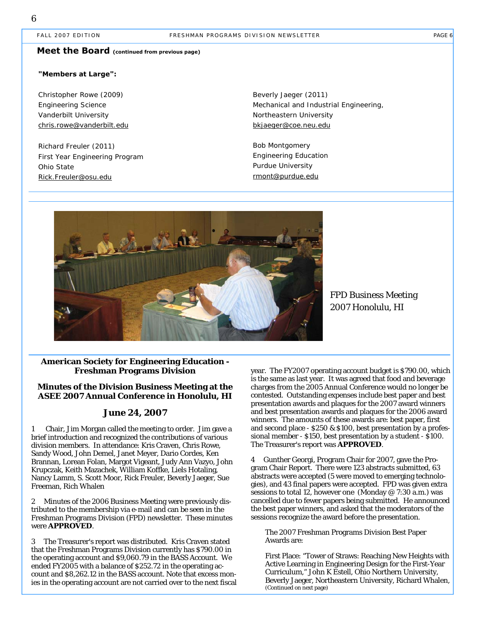#### FALL 2007 EDITION FRESHMAN PROGRAMS DIVISION NEWSLETTER FAGE 6

#### **Meet the Board (continued from previous page)**

#### **"Members at Large":**

Christopher Rowe (2009) Engineering Science Vanderbilt University chris.rowe@vanderbilt.edu

Richard Freuler (2011) First Year Engineering Program Ohio State Rick.Freuler@osu.edu

Beverly Jaeger (2011) Mechanical and Industrial Engineering, Northeastern University bkjaeger@coe.neu.edu

Bob Montgomery Engineering Education Purdue University rmont@purdue.edu



FPD Business Meeting 2007 Honolulu, HI

#### **American Society for Engineering Education - Freshman Programs Division**

#### **Minutes of the Division Business Meeting at the ASEE 2007 Annual Conference in Honolulu, HI**

#### **June 24, 2007**

1 Chair, Jim Morgan called the meeting to order. Jim gave a brief introduction and recognized the contributions of various division members. In attendance: Kris Craven, Chris Rowe, Sandy Wood, John Demel, Janet Meyer, Dario Cordes, Ken Brannan, Lorean Folan, Margot Vigeant, Judy Ann Vazyo, John Krupczak, Keith Mazachek, William Koffke, Liels Hotaling, Nancy Lamm, S. Scott Moor, Rick Freuler, Beverly Jaeger, Sue Freeman, Rich Whalen

2 Minutes of the 2006 Business Meeting were previously distributed to the membership via e-mail and can be seen in the Freshman Programs Division (FPD) newsletter. These minutes were **APPROVED**.

3 The Treasurer's report was distributed. Kris Craven stated that the Freshman Programs Division currently has \$790.00 in the operating account and \$9,060.79 in the BASS Account. We ended FY2005 with a balance of \$252.72 in the operating account and \$8,262.12 in the BASS account. Note that excess monies in the operating account are not carried over to the next fiscal year. The FY2007 operating account budget is \$790.00, which is the same as last year. It was agreed that food and beverage charges from the 2005 Annual Conference would no longer be contested. Outstanding expenses include best paper and best presentation awards and plaques for the 2007 award winners and best presentation awards and plaques for the 2006 award winners. The amounts of these awards are: best paper, first and second place - \$250 & \$100, best presentation by a professional member - \$150, best presentation by a student - \$100. The Treasurer's report was **APPROVED**.

4 Gunther Georgi, Program Chair for 2007, gave the Program Chair Report. There were 123 abstracts submitted, 63 abstracts were accepted (5 were moved to emerging technologies), and 43 final papers were accepted. FPD was given extra sessions to total 12, however one (Monday @ 7:30 a.m.) was cancelled due to fewer papers being submitted. He announced the best paper winners, and asked that the moderators of the sessions recognize the award before the presentation.

The 2007 Freshman Programs Division Best Paper Awards are:

First Place: "Tower of Straws: Reaching New Heights with Active Learning in Engineering Design for the First-Year Curriculum," John K Estell, Ohio Northern University, Beverly Jaeger, Northeastern University, Richard Whalen, (Continued on next page)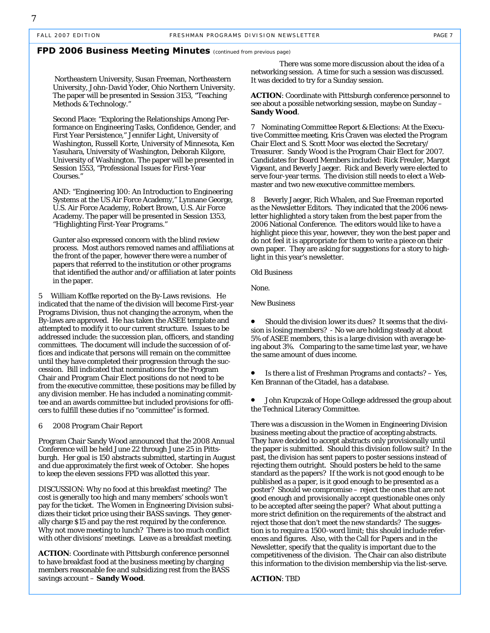#### **FPD 2006 Business Meeting Minutes** *(continued from previous page)*

 Northeastern University, Susan Freeman, Northeastern University, John-David Yoder, Ohio Northern University. The paper will be presented in Session 3153, "Teaching Methods & Technology."

Second Place: "Exploring the Relationships Among Performance on Engineering Tasks, Confidence, Gender, and First Year Persistence," Jennifer Light, University of Washington, Russell Korte, University of Minnesota, Ken Yasuhara, University of Washington, Deborah Kilgore, University of Washington. The paper will be presented in Session 1553, "Professional Issues for First-Year Courses."

AND: "Engineering 100: An Introduction to Engineering Systems at the US Air Force Academy," Lynnane George, U.S. Air Force Academy, Robert Brown, U.S. Air Force Academy. The paper will be presented in Session 1353, "Highlighting First-Year Programs."

Gunter also expressed concern with the blind review process. Most authors removed names and affiliations at the front of the paper, however there were a number of papers that referred to the institution or other programs that identified the author and/or affiliation at later points in the paper.

5 William Koffke reported on the By-Laws revisions. He indicated that the name of the division will become First-year Programs Division, thus not changing the acronym, when the By-laws are approved. He has taken the ASEE template and attempted to modify it to our current structure. Issues to be addressed include: the succession plan, officers, and standing committees. The document will include the succession of offices and indicate that persons will remain on the committee until they have completed their progression through the succession. Bill indicated that nominations for the Program Chair and Program Chair Elect positions do not need to be from the executive committee, these positions may be filled by any division member. He has included a nominating committee and an awards committee but included provisions for officers to fulfill these duties if no "committee" is formed.

#### 6 2008 Program Chair Report

Program Chair Sandy Wood announced that the 2008 Annual Conference will be held June 22 through June 25 in Pittsburgh. Her goal is 150 abstracts submitted, starting in August and due approximately the first week of October. She hopes to keep the eleven sessions FPD was allotted this year.

DISCUSSION: Why no food at this breakfast meeting? The cost is generally too high and many members' schools won't pay for the ticket. The Women in Engineering Division subsidizes their ticket price using their BASS savings. They generally charge \$15 and pay the rest required by the conference. Why not move meeting to lunch? There is too much conflict with other divisions' meetings. Leave as a breakfast meeting.

**ACTION**: Coordinate with Pittsburgh conference personnel to have breakfast food at the business meeting by charging members reasonable fee and subsidizing rest from the BASS savings account – **Sandy Wood**.

 There was some more discussion about the idea of a networking session. A time for such a session was discussed. It was decided to try for a Sunday session.

**ACTION**: Coordinate with Pittsburgh conference personnel to see about a possible networking session, maybe on Sunday – **Sandy Wood**.

7 Nominating Committee Report & Elections: At the Executive Committee meeting, Kris Craven was elected the Program Chair Elect and S. Scott Moor was elected the Secretary/ Treasurer. Sandy Wood is the Program Chair Elect for 2007. Candidates for Board Members included: Rick Freuler, Margot Vigeant, and Beverly Jaeger. Rick and Beverly were elected to serve four-year terms. The division still needs to elect a Webmaster and two new executive committee members.

8 Beverly Jaeger, Rich Whalen, and Sue Freeman reported as the Newsletter Editors. They indicated that the 2006 newsletter highlighted a story taken from the best paper from the 2006 National Conference. The editors would like to have a highlight piece this year, however, they won the best paper and do not feel it is appropriate for them to write a piece on their own paper. They are asking for suggestions for a story to highlight in this year's newsletter.

Old Business

None.

New Business

Should the division lower its dues? It seems that the division is losing members? - No we are holding steady at about 5% of ASEE members, this is a large division with average being about 3%. Comparing to the same time last year, we have the same amount of dues income.

• Is there a list of Freshman Programs and contacts? – Yes, Ken Brannan of the Citadel, has a database.

• John Krupczak of Hope College addressed the group about the Technical Literacy Committee.

There was a discussion in the Women in Engineering Division business meeting about the practice of accepting abstracts. They have decided to accept abstracts only provisionally until the paper is submitted. Should this division follow suit? In the past, the division has sent papers to poster sessions instead of rejecting them outright. Should posters be held to the same standard as the papers? If the work is not good enough to be published as a paper, is it good enough to be presented as a poster? Should we compromise – reject the ones that are not good enough and provisionally accept questionable ones only to be accepted after seeing the paper? What about putting a more strict definition on the requirements of the abstract and reject those that don't meet the new standards? The suggestion is to require a 1500-word limit; this should include references and figures. Also, with the Call for Papers and in the Newsletter, specify that the quality is important due to the competitiveness of the division. The Chair can also distribute this information to the division membership via the list-serve.

**ACTION**: TBD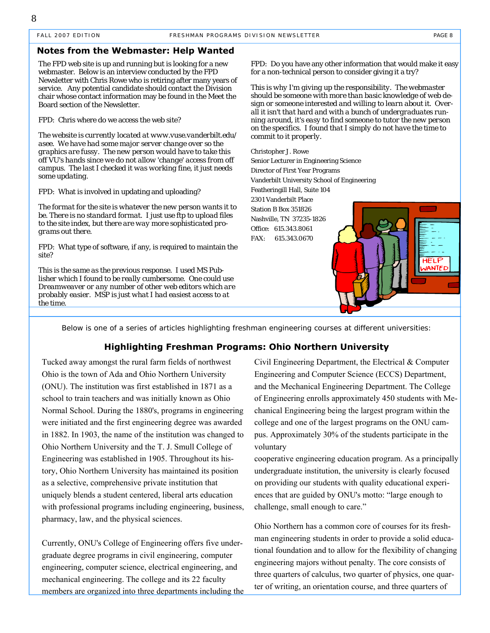#### **Notes from the Webmaster: Help Wanted**

The FPD web site is up and running but is looking for a new webmaster. Below is an interview conducted by the FPD Newsletter with Chris Rowe who is retiring after many years of service. Any potential candidate should contact the Division chair whose contact information may be found in the Meet the Board section of the Newsletter.

FPD: Chris where do we access the web site?

*The website is currently located at www.vuse.vanderbilt.edu/ asee. We have had some major server change over so the graphics are fussy. The new person would have to take this off VU's hands since we do not allow 'change' access from off campus. The last I checked it was working fine, it just needs some updating.* 

FPD: What is involved in updating and uploading?

*The format for the site is whatever the new person wants it to be. There is no standard format. I just use ftp to upload files to the site index, but there are way more sophisticated programs out there.* 

FPD: What type of software, if any, is required to maintain the site?

*This is the same as the previous response. I used MS Publisher which I found to be really cumbersome. One could use Dreamweaver or any number of other web editors which are probably easier. MSP is just what I had easiest access to at the time.* 

FPD: Do you have any other information that would make it easy for a non-technical person to consider giving it a try?

*This is why I'm giving up the responsibility. The webmaster should be someone with more than basic knowledge of web design or someone interested and willing to learn about it. Overall it isn't that hard and with a bunch of undergraduates running around, it's easy to find someone to tutor the new person on the specifics. I found that I simply do not have the time to commit to it properly.* 

Christopher J. Rowe Senior Lecturer in Engineering Science Director of First Year Programs Vanderbilt University School of Engineering Featheringill Hall, Suite 104 2301 Vanderbilt Place Station B Box 351826 Nashville, TN 37235-1826 Office: 615.343.8061 FAX: 615.343.0670



*Below is one of a series of articles highlighting freshman engineering courses at different universities:* 

#### **Highlighting Freshman Programs: Ohio Northern University**

Tucked away amongst the rural farm fields of northwest Ohio is the town of Ada and Ohio Northern University (ONU). The institution was first established in 1871 as a school to train teachers and was initially known as Ohio Normal School. During the 1880's, programs in engineering were initiated and the first engineering degree was awarded in 1882. In 1903, the name of the institution was changed to Ohio Northern University and the T. J. Smull College of Engineering was established in 1905. Throughout its history, Ohio Northern University has maintained its position as a selective, comprehensive private institution that uniquely blends a student centered, liberal arts education with professional programs including engineering, business, pharmacy, law, and the physical sciences.

Currently, ONU's College of Engineering offers five undergraduate degree programs in civil engineering, computer engineering, computer science, electrical engineering, and mechanical engineering. The college and its 22 faculty members are organized into three departments including the

Civil Engineering Department, the Electrical & Computer Engineering and Computer Science (ECCS) Department, and the Mechanical Engineering Department. The College of Engineering enrolls approximately 450 students with Mechanical Engineering being the largest program within the college and one of the largest programs on the ONU campus. Approximately 30% of the students participate in the voluntary

cooperative engineering education program. As a principally undergraduate institution, the university is clearly focused on providing our students with quality educational experiences that are guided by ONU's motto: "large enough to challenge, small enough to care."

Ohio Northern has a common core of courses for its freshman engineering students in order to provide a solid educational foundation and to allow for the flexibility of changing engineering majors without penalty. The core consists of three quarters of calculus, two quarter of physics, one quarter of writing, an orientation course, and three quarters of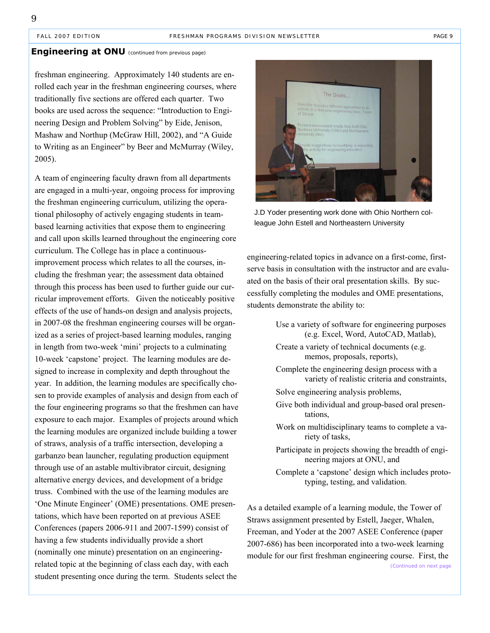#### **Engineering at ONU** (continued from previous page)

freshman engineering. Approximately 140 students are enrolled each year in the freshman engineering courses, where traditionally five sections are offered each quarter. Two books are used across the sequence: "Introduction to Engineering Design and Problem Solving" by Eide, Jenison, Mashaw and Northup (McGraw Hill, 2002), and "A Guide to Writing as an Engineer" by Beer and McMurray (Wiley, 2005).

A team of engineering faculty drawn from all departments are engaged in a multi-year, ongoing process for improving the freshman engineering curriculum, utilizing the operational philosophy of actively engaging students in teambased learning activities that expose them to engineering and call upon skills learned throughout the engineering core curriculum. The College has in place a continuousimprovement process which relates to all the courses, including the freshman year; the assessment data obtained through this process has been used to further guide our curricular improvement efforts. Given the noticeably positive effects of the use of hands-on design and analysis projects, in 2007-08 the freshman engineering courses will be organized as a series of project-based learning modules, ranging in length from two-week 'mini' projects to a culminating 10-week 'capstone' project. The learning modules are designed to increase in complexity and depth throughout the year. In addition, the learning modules are specifically chosen to provide examples of analysis and design from each of the four engineering programs so that the freshmen can have exposure to each major. Examples of projects around which the learning modules are organized include building a tower of straws, analysis of a traffic intersection, developing a garbanzo bean launcher, regulating production equipment through use of an astable multivibrator circuit, designing alternative energy devices, and development of a bridge truss. Combined with the use of the learning modules are 'One Minute Engineer' (OME) presentations. OME presentations, which have been reported on at previous ASEE Conferences (papers 2006-911 and 2007-1599) consist of having a few students individually provide a short (nominally one minute) presentation on an engineeringrelated topic at the beginning of class each day, with each student presenting once during the term. Students select the



J.D Yoder presenting work done with Ohio Northern colleague John Estell and Northeastern University

engineering-related topics in advance on a first-come, firstserve basis in consultation with the instructor and are evaluated on the basis of their oral presentation skills. By successfully completing the modules and OME presentations, students demonstrate the ability to:

- Use a variety of software for engineering purposes (e.g. Excel, Word, AutoCAD, Matlab),
- Create a variety of technical documents (e.g. memos, proposals, reports),
- Complete the engineering design process with a variety of realistic criteria and constraints,
- Solve engineering analysis problems,
- Give both individual and group-based oral presentations,
- Work on multidisciplinary teams to complete a variety of tasks,
- Participate in projects showing the breadth of engineering majors at ONU, and
- Complete a 'capstone' design which includes prototyping, testing, and validation.

As a detailed example of a learning module, the Tower of Straws assignment presented by Estell, Jaeger, Whalen, Freeman, and Yoder at the 2007 ASEE Conference (paper 2007-686) has been incorporated into a two-week learning module for our first freshman engineering course. First, the *(Continued on next page*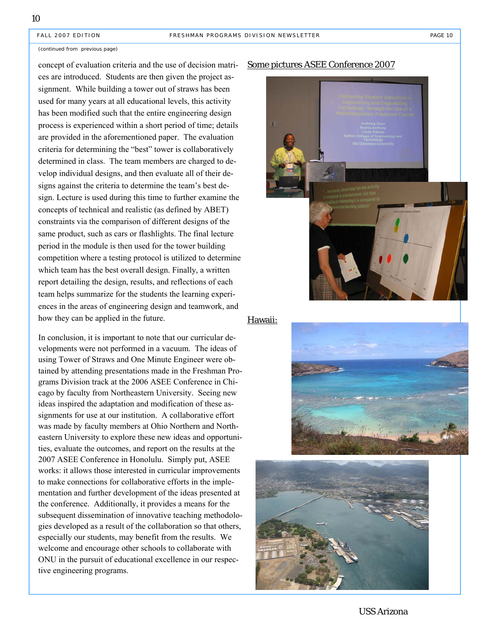#### (continued from previous page)

concept of evaluation criteria and the use of decision matrices are introduced. Students are then given the project assignment. While building a tower out of straws has been used for many years at all educational levels, this activity has been modified such that the entire engineering design process is experienced within a short period of time; details are provided in the aforementioned paper. The evaluation criteria for determining the "best" tower is collaboratively determined in class. The team members are charged to develop individual designs, and then evaluate all of their designs against the criteria to determine the team's best design. Lecture is used during this time to further examine the concepts of technical and realistic (as defined by ABET) constraints via the comparison of different designs of the same product, such as cars or flashlights. The final lecture period in the module is then used for the tower building competition where a testing protocol is utilized to determine which team has the best overall design. Finally, a written report detailing the design, results, and reflections of each team helps summarize for the students the learning experiences in the areas of engineering design and teamwork, and how they can be applied in the future.

In conclusion, it is important to note that our curricular developments were not performed in a vacuum. The ideas of using Tower of Straws and One Minute Engineer were obtained by attending presentations made in the Freshman Programs Division track at the 2006 ASEE Conference in Chicago by faculty from Northeastern University. Seeing new ideas inspired the adaptation and modification of these assignments for use at our institution. A collaborative effort was made by faculty members at Ohio Northern and Northeastern University to explore these new ideas and opportunities, evaluate the outcomes, and report on the results at the 2007 ASEE Conference in Honolulu. Simply put, ASEE works: it allows those interested in curricular improvements to make connections for collaborative efforts in the implementation and further development of the ideas presented at the conference. Additionally, it provides a means for the subsequent dissemination of innovative teaching methodologies developed as a result of the collaboration so that others, especially our students, may benefit from the results. We welcome and encourage other schools to collaborate with ONU in the pursuit of educational excellence in our respective engineering programs.

#### Some pictures ASEE Conference 2007



#### Hawaii:





USS Arizona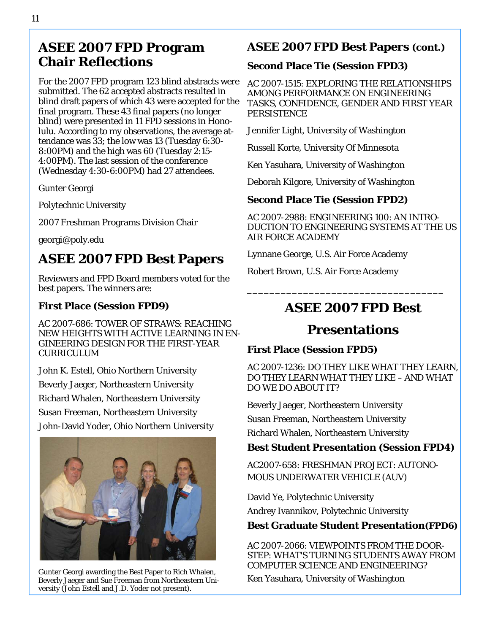# **ASEE 2007 FPD Program Chair Reflections**

For the 2007 FPD program 123 blind abstracts were submitted. The 62 accepted abstracts resulted in blind draft papers of which 43 were accepted for the final program. These 43 final papers (no longer blind) were presented in 11 FPD sessions in Honolulu. According to my observations, the average attendance was 33; the low was 13 (Tuesday 6:30- 8:00PM) and the high was 60 (Tuesday 2:15- 4:00PM). The last session of the conference (Wednesday 4:30-6:00PM) had 27 attendees.

Gunter Georgi

Polytechnic University

2007 Freshman Programs Division Chair

georgi@poly.edu

# **ASEE 2007 FPD Best Papers**

Reviewers and FPD Board members voted for the best papers. The winners are:

### **First Place (Session FPD9)**

AC 2007-686: TOWER OF STRAWS: REACHING NEW HEIGHTS WITH ACTIVE LEARNING IN EN-GINEERING DESIGN FOR THE FIRST-YEAR CURRICULUM

John K. Estell, Ohio Northern University Beverly Jaeger, Northeastern University Richard Whalen, Northeastern University Susan Freeman, Northeastern University John-David Yoder, Ohio Northern University



Gunter Georgi awarding the Best Paper to Rich Whalen,<br>Beverly Jaeger and Sue Freeman from Northeastern Uni- Ken Yasuhara, University of Washington versity (John Estell and J.D. Yoder not present).

# **ASEE 2007 FPD Best Papers (cont.)**

### **Second Place Tie (Session FPD3)**

AC 2007-1515: EXPLORING THE RELATIONSHIPS AMONG PERFORMANCE ON ENGINEERING TASKS, CONFIDENCE, GENDER AND FIRST YEAR **PERSISTENCE** 

Jennifer Light, University of Washington

Russell Korte, University Of Minnesota

Ken Yasuhara, University of Washington

Deborah Kilgore, University of Washington

## **Second Place Tie (Session FPD2)**

AC 2007-2988: ENGINEERING 100: AN INTRO-DUCTION TO ENGINEERING SYSTEMS AT THE US AIR FORCE ACADEMY

Lynnane George, U.S. Air Force Academy

Robert Brown, U.S. Air Force Academy

# **ASEE 2007 FPD Best**

\_\_\_\_\_\_\_\_\_\_\_\_\_\_\_\_\_\_\_\_\_\_\_\_\_\_\_\_\_\_\_\_\_\_\_

# **Presentations**

### **First Place (Session FPD5)**

AC 2007-1236: DO THEY LIKE WHAT THEY LEARN, DO THEY LEARN WHAT THEY LIKE – AND WHAT DO WE DO ABOUT IT?

Beverly Jaeger, Northeastern University

Susan Freeman, Northeastern University

Richard Whalen, Northeastern University

### **Best Student Presentation (Session FPD4)**

AC2007-658: FRESHMAN PROJECT: AUTONO-MOUS UNDERWATER VEHICLE (AUV)

David Ye, Polytechnic University

Andrey Ivannikov, Polytechnic University

**Best Graduate Student Presentation(FPD6)**

AC 2007-2066: VIEWPOINTS FROM THE DOOR-STEP: WHAT'S TURNING STUDENTS AWAY FROM COMPUTER SCIENCE AND ENGINEERING?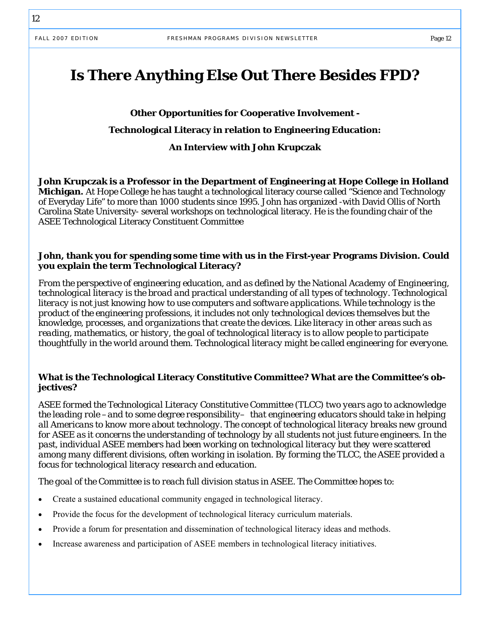# **Is There Anything Else Out There Besides FPD?**

# **Other Opportunities for Cooperative Involvement - Technological Literacy in relation to Engineering Education: An Interview with John Krupczak**

**John Krupczak is a Professor in the Department of Engineering at Hope College in Holland Michigan.** At Hope College he has taught a technological literacy course called "Science and Technology of Everyday Life" to more than 1000 students since 1995. John has organized -with David Ollis of North Carolina State University- several workshops on technological literacy. He is the founding chair of the ASEE Technological Literacy Constituent Committee

#### **John, thank you for spending some time with us in the First-year Programs Division. Could you explain the term Technological Literacy?**

*From the perspective of engineering education, and as defined by the National Academy of Engineering, technological literacy is the broad and practical understanding of all types of technology. Technological literacy is not just knowing how to use computers and software applications. While technology is the product of the engineering professions, it includes not only technological devices themselves but the knowledge, processes, and organizations that create the devices. Like literacy in other areas such as reading, mathematics, or history, the goal of technological literacy is to allow people to participate thoughtfully in the world around them. Technological literacy might be called engineering for everyone.* 

#### **What is the Technological Literacy Constitutive Committee? What are the Committee's objectives?**

*ASEE formed the Technological Literacy Constitutive Committee (TLCC) two years ago to acknowledge the leading role –and to some degree responsibility– that engineering educators should take in helping all Americans to know more about technology. The concept of technological literacy breaks new ground for ASEE as it concerns the understanding of technology by all students not just future engineers. In the past, individual ASEE members had been working on technological literacy but they were scattered among many different divisions, often working in isolation. By forming the TLCC, the ASEE provided a focus for technological literacy research and education.* 

*The goal of the Committee is to reach full division status in ASEE. The Committee hopes to:* 

- Create a sustained educational community engaged in technological literacy.
- Provide the focus for the development of technological literacy curriculum materials.
- Provide a forum for presentation and dissemination of technological literacy ideas and methods.
- Increase awareness and participation of ASEE members in technological literacy initiatives.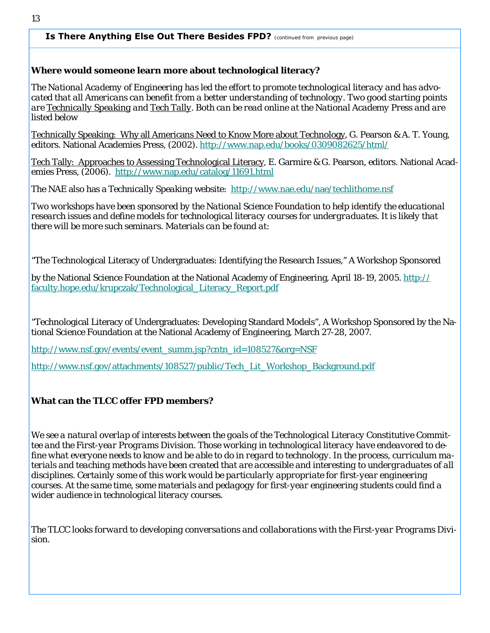#### **Is There Anything Else Out There Besides FPD?** *(continued from previous page)*

#### **Where would someone learn more about technological literacy?**

*The National Academy of Engineering has led the effort to promote technological literacy and has advocated that all Americans can benefit from a better understanding of technology. Two good starting points are Technically Speaking and Tech Tally. Both can be read online at the National Academy Press and are listed below* 

Technically Speaking: Why all Americans Need to Know More about Technology, G. Pearson & A. T. Young, editors. National Academies Press, (2002). http://www.nap.edu/books/0309082625/html/

Tech Tally: Approaches to Assessing Technological Literacy, E. Garmire & G. Pearson, editors. National Academies Press, (2006). http://www.nap.edu/catalog/11691.html

The NAE also has a *Technically Speaking* website: http://www.nae.edu/nae/techlithome.nsf

*Two workshops have been sponsored by the National Science Foundation to help identify the educational research issues and define models for technological literacy courses for undergraduates. It is likely that there will be more such seminars. Materials can be found at:* 

"The Technological Literacy of Undergraduates: Identifying the Research Issues," A Workshop Sponsored

by the National Science Foundation at the National Academy of Engineering, April 18-19, 2005. http:// faculty.hope.edu/krupczak/Technological\_Literacy\_Report.pdf

"Technological Literacy of Undergraduates: Developing Standard Models", A Workshop Sponsored by the National Science Foundation at the National Academy of Engineering, March 27-28, 2007.

http://www.nsf.gov/events/event\_summ.jsp?cntn\_id=108527&org=NSF

http://www.nsf.gov/attachments/108527/public/Tech\_Lit\_Workshop\_Background.pdf

#### **What can the TLCC offer FPD members?**

*We see a natural overlap of interests between the goals of the Technological Literacy Constitutive Committee and the First-year Programs Division. Those working in technological literacy have endeavored to define what everyone needs to know and be able to do in regard to technology. In the process, curriculum materials and teaching methods have been created that are accessible and interesting to undergraduates of all disciplines. Certainly some of this work would be particularly appropriate for first-year engineering courses. At the same time, some materials and pedagogy for first-year engineering students could find a wider audience in technological literacy courses.* 

*The TLCC looks forward to developing conversations and collaborations with the First-year Programs Division.*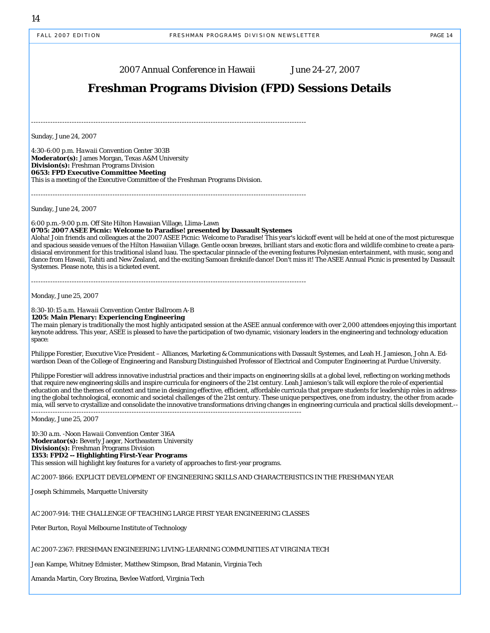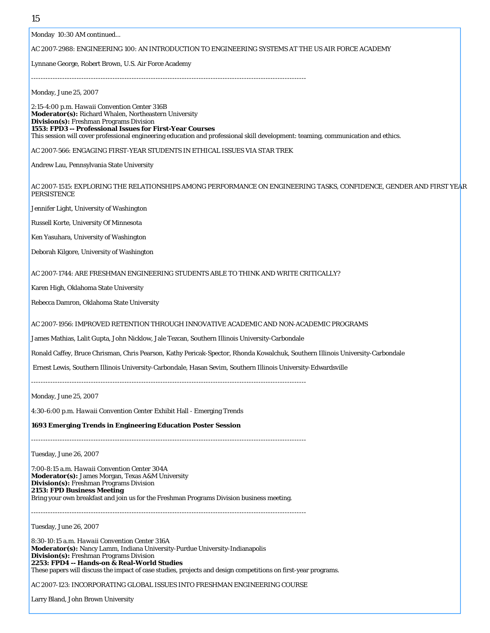Monday 10:30 AM continued...

#### AC 2007-2988: ENGINEERING 100: AN INTRODUCTION TO ENGINEERING SYSTEMS AT THE US AIR FORCE ACADEMY

Lynnane George, Robert Brown, U.S. Air Force Academy

Monday, June 25, 2007

2:15-4:00 p.m. *Hawaii Convention Center* 316B **Moderator(s):** Richard Whalen, Northeastern University **Division(s):** Freshman Programs Division **1553: FPD3 -- Professional Issues for First-Year Courses** This session will cover professional engineering education and professional skill development: teaming, communication and ethics.

AC 2007-566: ENGAGING FIRST-YEAR STUDENTS IN ETHICAL ISSUES VIA STAR TREK

-------------------------------------------------------------------------------------------------------------------

Andrew Lau, Pennsylvania State University

AC 2007-1515: EXPLORING THE RELATIONSHIPS AMONG PERFORMANCE ON ENGINEERING TASKS, CONFIDENCE, GENDER AND FIRST YEAR PERSISTENCE

Jennifer Light, University of Washington

Russell Korte, University Of Minnesota

Ken Yasuhara, University of Washington

Deborah Kilgore, University of Washington

AC 2007-1744: ARE FRESHMAN ENGINEERING STUDENTS ABLE TO THINK AND WRITE CRITICALLY?

Karen High, Oklahoma State University

Rebecca Damron, Oklahoma State University

AC 2007-1956: IMPROVED RETENTION THROUGH INNOVATIVE ACADEMIC AND NON-ACADEMIC PROGRAMS

James Mathias, Lalit Gupta, John Nicklow, Jale Tezcan, Southern Illinois University-Carbondale

Ronald Caffey, Bruce Chrisman, Chris Pearson, Kathy Pericak-Spector, Rhonda Kowalchuk, Southern Illinois University-Carbondale

Ernest Lewis, Southern Illinois University-Carbondale, Hasan Sevim, Southern Illinois University-Edwardsville

-------------------------------------------------------------------------------------------------------------------

Monday, June 25, 2007

4:30-6:00 p.m. *Hawaii Convention Center* Exhibit Hall - Emerging Trends

**1693 Emerging Trends in Engineering Education Poster Session**

-------------------------------------------------------------------------------------------------------------------

Tuesday, June 26, 2007

7:00-8:15 a.m. *Hawaii Convention Center* 304A **Moderator(s):** James Morgan, Texas A&M University **Division(s):** Freshman Programs Division **2153: FPD Business Meeting** Bring your own breakfast and join us for the Freshman Programs Division business meeting.

-------------------------------------------------------------------------------------------------------------------

Tuesday, June 26, 2007

8:30-10:15 a.m. *Hawaii Convention Center* 316A **Moderator(s):** Nancy Lamm, Indiana University-Purdue University-Indianapolis **Division(s):** Freshman Programs Division **2253: FPD4 -- Hands-on & Real-World Studies**  These papers will discuss the impact of case studies, projects and design competitions on first-year programs.

AC 2007-123: INCORPORATING GLOBAL ISSUES INTO FRESHMAN ENGINEERING COURSE

Larry Bland, John Brown University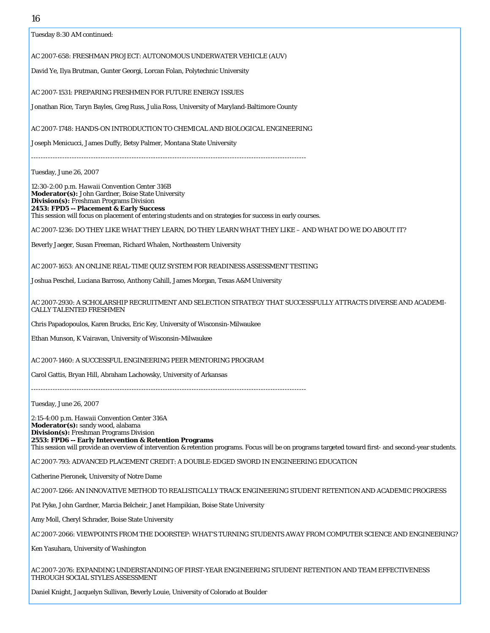| ıυ                                                                                                                                                                                                              |
|-----------------------------------------------------------------------------------------------------------------------------------------------------------------------------------------------------------------|
| Tuesday 8:30 AM continued:                                                                                                                                                                                      |
| AC 2007-658: FRESHMAN PROJECT: AUTONOMOUS UNDERWATER VEHICLE (AUV)                                                                                                                                              |
| David Ye, Ilya Brutman, Gunter Georgi, Lorcan Folan, Polytechnic University                                                                                                                                     |
| AC 2007-1531: PREPARING FRESHMEN FOR FUTURE ENERGY ISSUES                                                                                                                                                       |
| Jonathan Rice, Taryn Bayles, Greg Russ, Julia Ross, University of Maryland-Baltimore County                                                                                                                     |
|                                                                                                                                                                                                                 |
| AC 2007-1748: HANDS-ON INTRODUCTION TO CHEMICAL AND BIOLOGICAL ENGINEERING                                                                                                                                      |
| Joseph Menicucci, James Duffy, Betsy Palmer, Montana State University                                                                                                                                           |
|                                                                                                                                                                                                                 |
| Tuesday, June 26, 2007                                                                                                                                                                                          |
| 12:30-2:00 p.m. Hawaii Convention Center 316B<br>Moderator(s): John Gardner, Boise State University                                                                                                             |
| <b>Division(s):</b> Freshman Programs Division<br>2453: FPD5 -- Placement & Early Success                                                                                                                       |
| This session will focus on placement of entering students and on strategies for success in early courses.                                                                                                       |
| AC 2007-1236: DO THEY LIKE WHAT THEY LEARN, DO THEY LEARN WHAT THEY LIKE - AND WHAT DO WE DO ABOUT IT?                                                                                                          |
| Beverly Jaeger, Susan Freeman, Richard Whalen, Northeastern University                                                                                                                                          |
| AC 2007-1653: AN ONLINE REAL-TIME QUIZ SYSTEM FOR READINESS ASSESSMENT TESTING                                                                                                                                  |
| Joshua Peschel, Luciana Barroso, Anthony Cahill, James Morgan, Texas A&M University                                                                                                                             |
| AC 2007-2930: A SCHOLARSHIP RECRUITMENT AND SELECTION STRATEGY THAT SUCCESSFULLY ATTRACTS DIVERSE AND ACADEMI-<br><b>CALLY TALENTED FRESHMEN</b>                                                                |
| Chris Papadopoulos, Karen Brucks, Eric Key, University of Wisconsin-Milwaukee                                                                                                                                   |
| Ethan Munson, K Vairavan, University of Wisconsin-Milwaukee                                                                                                                                                     |
|                                                                                                                                                                                                                 |
| AC 2007-1460: A SUCCESSFUL ENGINEERING PEER MENTORING PROGRAM                                                                                                                                                   |
| Carol Gattis, Bryan Hill, Abraham Lachowsky, University of Arkansas                                                                                                                                             |
| Tuesday, June 26, 2007                                                                                                                                                                                          |
| 2:15-4:00 p.m. Hawaii Convention Center 316A                                                                                                                                                                    |
| Moderator(s): sandy wood, alabama<br><b>Division(s):</b> Freshman Programs Division                                                                                                                             |
| 2553: FPD6 -- Early Intervention & Retention Programs<br>This session will provide an overview of intervention & retention programs. Focus will be on programs targeted toward first- and second-year students. |
| AC 2007-793: ADVANCED PLACEMENT CREDIT: A DOUBLE-EDGED SWORD IN ENGINEERING EDUCATION                                                                                                                           |
| Catherine Pieronek, University of Notre Dame                                                                                                                                                                    |
| AC 2007-1266: AN INNOVATIVE METHOD TO REALISTICALLY TRACK ENGINEERING STUDENT RETENTION AND ACADEMIC PROGRESS                                                                                                   |
| Pat Pyke, John Gardner, Marcia Belcheir, Janet Hampikian, Boise State University                                                                                                                                |
| Amy Moll, Cheryl Schrader, Boise State University                                                                                                                                                               |
| AC 2007-2066: VIEWPOINTS FROM THE DOORSTEP: WHAT'S TURNING STUDENTS AWAY FROM COMPUTER SCIENCE AND ENGINEERING?                                                                                                 |
| Ken Yasuhara, University of Washington                                                                                                                                                                          |
|                                                                                                                                                                                                                 |
| AC 2007-2076: EXPANDING UNDERSTANDING OF FIRST-YEAR ENGINEERING STUDENT RETENTION AND TEAM EFFECTIVENESS<br>THROUGH SOCIAL STYLES ASSESSMENT                                                                    |
| Daniel Knight, Jacquelyn Sullivan, Beverly Louie, University of Colorado at Boulder                                                                                                                             |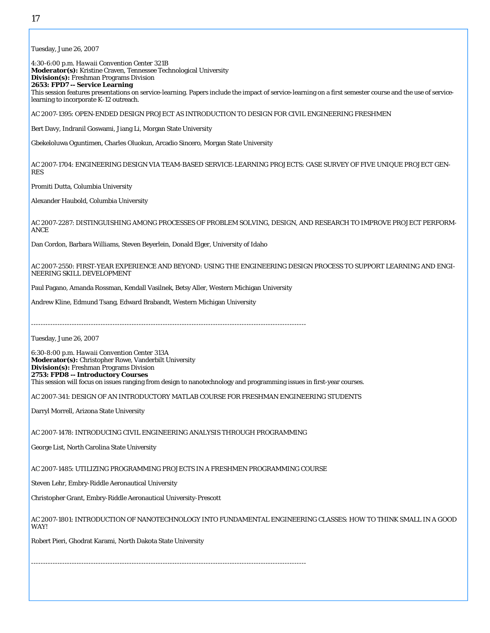Tuesday, June 26, 2007 4:30-6:00 p.m. *Hawaii Convention Center* 321B **Moderator(s):** Kristine Craven, Tennessee Technological University **Division(s):** Freshman Programs Division **2653: FPD7 -- Service Learning** This session features presentations on service-learning. Papers include the impact of service-learning on a first semester course and the use of servicelearning to incorporate K-12 outreach. AC 2007-1395: OPEN-ENDED DESIGN PROJECT AS INTRODUCTION TO DESIGN FOR CIVIL ENGINEERING FRESHMEN Bert Davy, Indranil Goswami, Jiang Li, Morgan State University Gbekeloluwa Oguntimen, Charles Oluokun, Arcadio Sincero, Morgan State University AC 2007-1704: ENGINEERING DESIGN VIA TEAM-BASED SERVICE-LEARNING PROJECTS: CASE SURVEY OF FIVE UNIQUE PROJECT GEN-RES Promiti Dutta, Columbia University Alexander Haubold, Columbia University AC 2007-2287: DISTINGUISHING AMONG PROCESSES OF PROBLEM SOLVING, DESIGN, AND RESEARCH TO IMPROVE PROJECT PERFORM-ANCE Dan Cordon, Barbara Williams, Steven Beyerlein, Donald Elger, University of Idaho AC 2007-2550: FIRST-YEAR EXPERIENCE AND BEYOND: USING THE ENGINEERING DESIGN PROCESS TO SUPPORT LEARNING AND ENGI-NEERING SKILL DEVELOPMENT Paul Pagano, Amanda Rossman, Kendall Vasilnek, Betsy Aller, Western Michigan University Andrew Kline, Edmund Tsang, Edward Brabandt, Western Michigan University ------------------------------------------------------------------------------------------------------------------- Tuesday, June 26, 2007 6:30-8:00 p.m. *Hawaii Convention Center* 313A **Moderator(s):** Christopher Rowe, Vanderbilt University **Division(s):** Freshman Programs Division **2753: FPD8 -- Introductory Courses** This session will focus on issues ranging from design to nanotechnology and programming issues in first-year courses. AC 2007-341: DESIGN OF AN INTRODUCTORY MATLAB COURSE FOR FRESHMAN ENGINEERING STUDENTS Darryl Morrell, Arizona State University AC 2007-1478: INTRODUCING CIVIL ENGINEERING ANALYSIS THROUGH PROGRAMMING George List, North Carolina State University AC 2007-1485: UTILIZING PROGRAMMING PROJECTS IN A FRESHMEN PROGRAMMING COURSE Steven Lehr, Embry-Riddle Aeronautical University Christopher Grant, Embry-Riddle Aeronautical University-Prescott AC 2007-1801: INTRODUCTION OF NANOTECHNOLOGY INTO FUNDAMENTAL ENGINEERING CLASSES: HOW TO THINK SMALL IN A GOOD WAY! Robert Pieri, Ghodrat Karami, North Dakota State University -------------------------------------------------------------------------------------------------------------------

17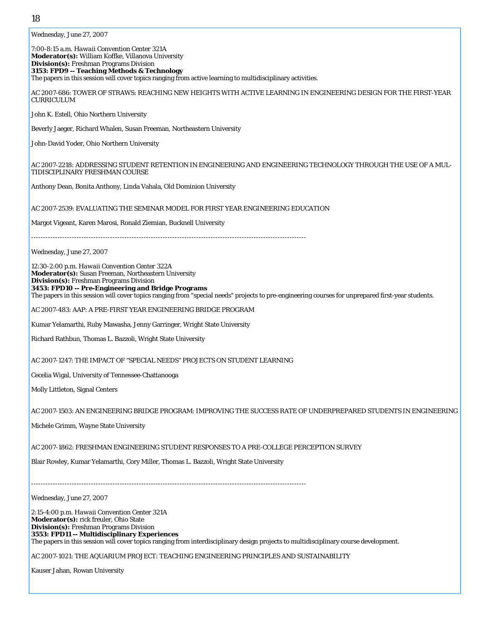Wednesday, June 27, 2007

7:00-8:15 a.m. *Hawaii Convention Center* 321A **Moderator(s):** William Koffke, Villanova University **Division(s):** Freshman Programs Division **3153: FPD9 -- Teaching Methods & Technology**  The papers in this session will cover topics ranging from active learning to multidisciplinary activities. AC 2007-686: TOWER OF STRAWS: REACHING NEW HEIGHTS WITH ACTIVE LEARNING IN ENGINEERING DESIGN FOR THE FIRST-YEAR CURRICULUM John K. Estell, Ohio Northern University Beverly Jaeger, Richard Whalen, Susan Freeman, Northeastern University John-David Yoder, Ohio Northern University AC 2007-2218: ADDRESSING STUDENT RETENTION IN ENGINEERING AND ENGINEERING TECHNOLOGY THROUGH THE USE OF A MUL-TIDISCIPLINARY FRESHMAN COURSE Anthony Dean, Bonita Anthony, Linda Vahala, Old Dominion University AC 2007-2539: EVALUATING THE SEMINAR MODEL FOR FIRST YEAR ENGINEERING EDUCATION Margot Vigeant, Karen Marosi, Ronald Ziemian, Bucknell University ------------------------------------------------------------------------------------------------------------------- Wednesday, June 27, 2007 12:30-2:00 p.m. *Hawaii Convention Center* 322A **Moderator(s):** Susan Freeman, Northeastern University **Division(s):** Freshman Programs Division **3453: FPD10 -- Pre-Engineering and Bridge Programs** The papers in this session will cover topics ranging from "special needs" projects to pre-engineering courses for unprepared first-year students. AC 2007-483: AAP: A PRE-FIRST YEAR ENGINEERING BRIDGE PROGRAM Kumar Yelamarthi, Ruby Mawasha, Jenny Garringer, Wright State University Richard Rathbun, Thomas L. Bazzoli, Wright State University AC 2007-1247: THE IMPACT OF "SPECIAL NEEDS" PROJECTS ON STUDENT LEARNING Cecelia Wigal, University of Tennessee-Chattanooga Molly Littleton, Signal Centers AC 2007-1503: AN ENGINEERING BRIDGE PROGRAM: IMPROVING THE SUCCESS RATE OF UNDERPREPARED STUDENTS IN ENGINEERING Michele Grimm, Wayne State University AC 2007-1862: FRESHMAN ENGINEERING STUDENT RESPONSES TO A PRE-COLLEGE PERCEPTION SURVEY Blair Rowley, Kumar Yelamarthi, Cory Miller, Thomas L. Bazzoli, Wright State University ------------------------------------------------------------------------------------------------------------------- Wednesday, June 27, 2007 2:15-4:00 p.m. *Hawaii Convention Center* 321A **Moderator(s):** rick freuler, Ohio State **Division(s):** Freshman Programs Division **3553: FPD11 -- Multidisciplinary Experiences** The papers in this session will cover topics ranging from interdisciplinary design projects to multidisciplinary course development. AC 2007-1021: THE AQUARIUM PROJECT: TEACHING ENGINEERING PRINCIPLES AND SUSTAINABILITY Kauser Jahan, Rowan University